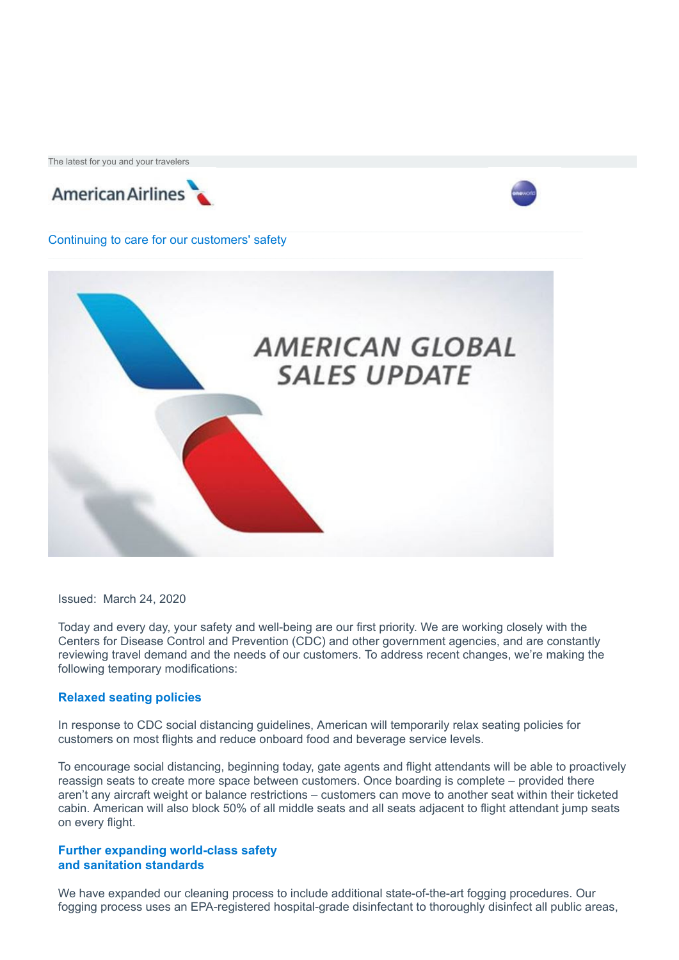The latest for you and your travelers





Continuing to care for our customers' safety



Issued: March 24, 2020

Today and every day, your safety and well-being are our first priority. We are working closely with the Centers for Disease Control and Prevention (CDC) and other government agencies, and are constantly reviewing travel demand and the needs of our customers. To address recent changes, we're making the following temporary modifications:

### **Relaxed seating policies**

In response to CDC social distancing guidelines, American will temporarily relax seating policies for customers on most flights and reduce onboard food and beverage service levels.

To encourage social distancing, beginning today, gate agents and flight attendants will be able to proactively reassign seats to create more space between customers. Once boarding is complete – provided there aren't any aircraft weight or balance restrictions – customers can move to another seat within their ticketed cabin. American will also block 50% of all middle seats and all seats adjacent to flight attendant jump seats on every flight.

#### **Further expanding world-class safety and sanitation standards**

We have expanded our cleaning process to include additional state-of-the-art fogging procedures. Our fogging process uses an EPA-registered hospital-grade disinfectant to thoroughly disinfect all public areas,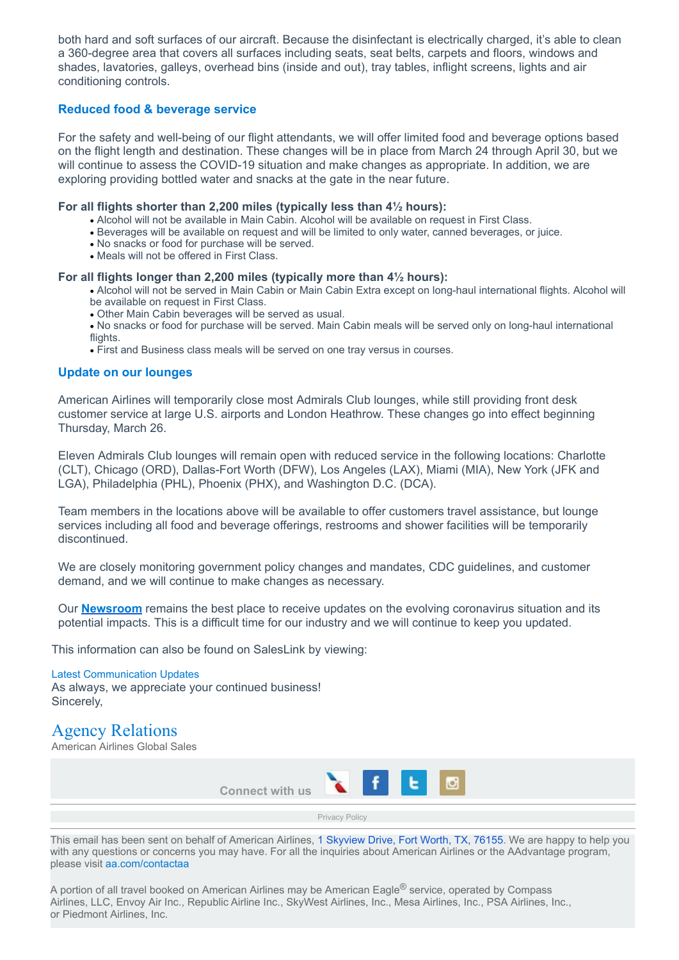both hard and soft surfaces of our aircraft. Because the disinfectant is electrically charged, it's able to clean a 360-degree area that covers all surfaces including seats, seat belts, carpets and floors, windows and shades, lavatories, galleys, overhead bins (inside and out), tray tables, inflight screens, lights and air conditioning controls.

## **Reduced food & beverage service**

For the safety and well-being of our flight attendants, we will offer limited food and beverage options based on the flight length and destination. These changes will be in place from March 24 through April 30, but we will continue to assess the COVID-19 situation and make changes as appropriate. In addition, we are exploring providing bottled water and snacks at the gate in the near future.

#### **For all flights shorter than 2,200 miles (typically less than 4½ hours):**

- · Alcohol will not be available in Main Cabin. Alcohol will be available on request in First Class.
- · Beverages will be available on request and will be limited to only water, canned beverages, or juice.
- · No snacks or food for purchase will be served.
- · Meals will not be offered in First Class.

### **For all flights longer than 2,200 miles (typically more than 4½ hours):**

- · Alcohol will not be served in Main Cabin or Main Cabin Extra except on long-haul international flights. Alcohol will be available on request in First Class.
- · Other Main Cabin beverages will be served as usual.
- · No snacks or food for purchase will be served. Main Cabin meals will be served only on long-haul international flights.
- · First and Business class meals will be served on one tray versus in courses.

### **Update on our lounges**

American Airlines will temporarily close most Admirals Club lounges, while still providing front desk customer service at large U.S. airports and London Heathrow. These changes go into effect beginning Thursday, March 26.

Eleven Admirals Club lounges will remain open with reduced service in the following locations: Charlotte (CLT), Chicago (ORD), Dallas-Fort Worth (DFW), Los Angeles (LAX), Miami (MIA), New York (JFK and LGA), Philadelphia (PHL), Phoenix (PHX), and Washington D.C. (DCA).

Team members in the locations above will be available to offer customers travel assistance, but lounge services including all food and beverage offerings, restrooms and shower facilities will be temporarily discontinued.

We are closely monitoring government policy changes and mandates, CDC guidelines, and customer demand, and we will continue to make changes as necessary.

Our **[Newsroom](https://protect-eu.mimecast.com/s/2zaMC08J3HkMnEliWF1Tk?domain=news.aa.com)** remains the best place to receive updates on the evolving coronavirus situation and its potential impacts. This is a difficult time for our industry and we will continue to keep you updated.

This information can also be found on SalesLink by viewing:

# [Latest Communication Updates](https://protect-eu.mimecast.com/s/i4KfCgplXHqmvgnUEDvID?domain=saleslink.aa.com)

As always, we appreciate your continued business! Sincerely,

# Agency Relations

American Airlines Global Sales



[Privacy Policy](https://protect-eu.mimecast.com/s/Tm1mCnRvJiXK4yQiPeAP5?domain=aa.com)

This email has been sent on behalf of American Airlines, [1 Skyview Drive, Fort Worth, TX, 76155](https://www.google.com/maps/search/1+Skyview+Drive,+Fort+Worth,+TX,+76155?entry=gmail&source=g). We are happy to help you with any questions or concerns you may have. For all the inquiries about American Airlines or the AAdvantage program, please visit [aa.com/contactaa](https://protect-eu.mimecast.com/s/MfYnCoZwJfDBAoJfEBiQT?domain=aa.com)

A portion of all travel booked on American Airlines may be American Eagle<sup>®</sup> service, operated by Compass Airlines, LLC, Envoy Air Inc., Republic Airline Inc., SkyWest Airlines, Inc., Mesa Airlines, Inc., PSA Airlines, Inc., or Piedmont Airlines, Inc.